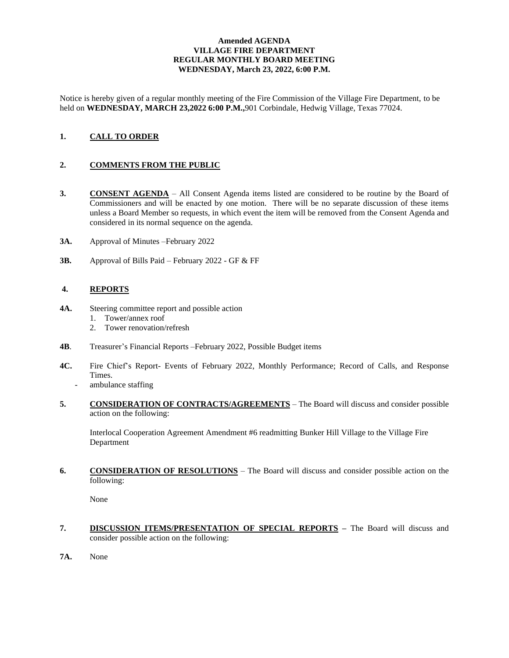### **Amended AGENDA VILLAGE FIRE DEPARTMENT REGULAR MONTHLY BOARD MEETING WEDNESDAY, March 23, 2022, 6:00 P.M.**

Notice is hereby given of a regular monthly meeting of the Fire Commission of the Village Fire Department, to be held on **WEDNESDAY, MARCH 23,2022 6:00 P.M.,**901 Corbindale, Hedwig Village, Texas 77024.

# **1. CALL TO ORDER**

## **2. COMMENTS FROM THE PUBLIC**

- **3. CONSENT AGENDA** All Consent Agenda items listed are considered to be routine by the Board of Commissioners and will be enacted by one motion. There will be no separate discussion of these items unless a Board Member so requests, in which event the item will be removed from the Consent Agenda and considered in its normal sequence on the agenda.
- **3A.** Approval of Minutes –February 2022
- **3B.** Approval of Bills Paid February 2022 GF & FF

#### **4. REPORTS**

- **4A.** Steering committee report and possible action
	- 1. Tower/annex roof
	- 2. Tower renovation/refresh
- **4B**. Treasurer's Financial Reports –February 2022, Possible Budget items
- **4C.** Fire Chief's Report- Events of February 2022, Monthly Performance; Record of Calls, and Response Times.
	- ambulance staffing
- **5. CONSIDERATION OF CONTRACTS/AGREEMENTS** The Board will discuss and consider possible action on the following:

Interlocal Cooperation Agreement Amendment #6 readmitting Bunker Hill Village to the Village Fire Department

**6. CONSIDERATION OF RESOLUTIONS** – The Board will discuss and consider possible action on the following:

None

- **7. DISCUSSION ITEMS/PRESENTATION OF SPECIAL REPORTS –** The Board will discuss and consider possible action on the following:
- **7A.** None